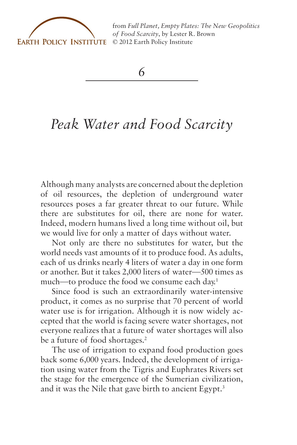

from *[Full Planet, Empty Plates: The New Geopolitics](http://www.earth-policy.org) of Food Scarcity*, by Lester R. Brown © 2012 Earth Policy Institute

*6*

## *Peak Water and Food Scarcity*

Although many analysts are concerned about the depletion of oil resources, the depletion of underground water resources poses a far greater threat to our future. While there are substitutes for oil, there are none for water. Indeed, modern humans lived a long time without oil, but we would live for only a matter of days without water.

Not only are there no substitutes for water, but the world needs vast amounts of it to produce food. As adults, each of us drinks nearly 4 liters of water a day in one form or another. But it takes 2,000 liters of water—500 times as much—to produce the food we consume each day.1

Since food is such an extraordinarily water-intensive product, it comes as no surprise that 70 percent of world water use is for irrigation. Although it is now widely accepted that the world is facing severe water shortages, not everyone realizes that a future of water shortages will also be a future of food shortages.<sup>2</sup>

The use of irrigation to expand food production goes back some 6,000 years. Indeed, the development of irrigation using water from the Tigris and Euphrates Rivers set the stage for the emergence of the Sumerian civilization, and it was the Nile that gave birth to ancient Egypt.<sup>3</sup>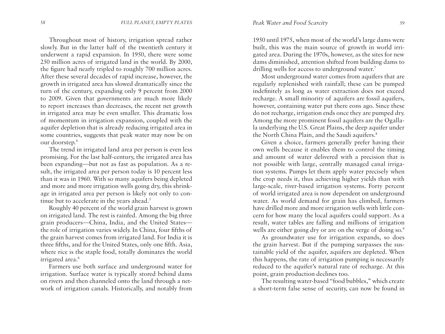Throughout most of history, irrigation spread rather slowly. But in the latter half of the twentieth century it underwent a rapid expansion. In 1950, there were some 250 million acres of irrigated land in the world. By 2000, the figure had nearly tripled to roughly 700 million acres. After these several decades of rapid increase, however, the growth in irrigated area has slowed dramatically since the turn of the century, expanding only 9 percent from 2000 to 2009. Given that governments are much more likely to report increases than decreases, the recent net growth in irrigated area may be even smaller. This dramatic loss of momentum in irrigation expansion, coupled with the aquifer depletion that is already reducing irrigated area in some countries, suggests that peak water may now be on our doorstep.4

The trend in irrigated land area per person is even less promising. For the last half-century, the irrigated area has been expanding—but not as fast as population. As a result, the irrigated area per person today is 10 percent less than it was in 1960. With so many aquifers being depleted and more and more irrigation wells going dry, this shrinkage in irrigated area per person is likely not only to continue but to accelerate in the years ahead.<sup>5</sup>

Roughly 40 percent of the world grain harvest is grown on irrigated land. The rest is rainfed. Among the big three grain producers—China, India, and the United States the role of irrigation varies widely. In China, four fifths of the grain harvest comes from irrigated land. For India it is three fifths, and for the United States, only one fifth. Asia, where rice is the staple food, totally dominates the world irrigated area.<sup>6</sup>

Farmers use both surface and underground water for irrigation. Surface water is typically stored behind dams on rivers and then channeled onto the land through a network of irrigation canals. Historically, and notably from

1950 until 1975, when most of the world's large dams were built, this was the main source of growth in world irrigated area. During the 1970s, however, as the sites for new dams diminished, attention shifted from building dams to drilling wells for access to underground water.<sup>7</sup>

Most underground water comes from aquifers that are regularly replenished with rainfall; these can be pumped indefinitely as long as water extraction does not exceed recharge. A small minority of aquifers are fossil aquifers, however, containing water put there eons ago. Since these do not recharge, irrigation ends once they are pumped dry. Among the more prominent fossil aquifers are the Ogallala underlying the U.S. Great Plains, the deep aquifer under the North China Plain, and the Saudi aquifers.<sup>8</sup>

Given a choice, farmers generally prefer having their own wells because it enables them to control the timing and amount of water delivered with a precision that is not possible with large, centrally managed canal irrigation systems. Pumps let them apply water precisely when the crop needs it, thus achieving higher yields than with large-scale, river-based irrigation systems. Forty percent of world irrigated area is now dependent on underground water. As world demand for grain has climbed, farmers have drilled more and more irrigation wells with little concern for how many the local aquifers could support. As a result, water tables are falling and millions of irrigation wells are either going dry or are on the verge of doing so.<sup>9</sup>

As groundwater use for irrigation expands, so does the grain harvest. But if the pumping surpasses the sustainable yield of the aquifer, aquifers are depleted. When this happens, the rate of irrigation pumping is necessarily reduced to the aquifer's natural rate of recharge. At this point, grain production declines too.

The resulting water-based "food bubbles," which create a short-term false sense of security, can now be found in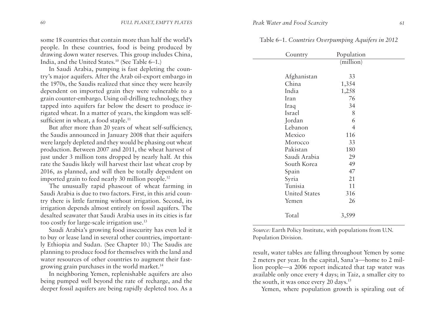some 18 countries that contain more than half the world's people. In these countries, food is being produced by drawing down water reserves. This group includes China, India, and the United States.10 (See Table 6–1.)

In Saudi Arabia, pumping is fast depleting the country's major aquifers. After the Arab oil-export embargo in the 1970s, the Saudis realized that since they were heavily dependent on imported grain they were vulnerable to a grain counter-embargo. Using oil-drilling technology, they tapped into aquifers far below the desert to produce irrigated wheat. In a matter of years, the kingdom was selfsufficient in wheat, a food staple.<sup>11</sup>

But after more than 20 years of wheat self-sufficiency, the Saudis announced in January 2008 that their aquifers were largely depleted and they would be phasing out wheat production. Between 2007 and 2011, the wheat harvest of just under 3 million tons dropped by nearly half. At this rate the Saudis likely will harvest their last wheat crop by 2016, as planned, and will then be totally dependent on imported grain to feed nearly 30 million people.12

The unusually rapid phaseout of wheat farming in Saudi Arabia is due to two factors. First, in this arid country there is little farming without irrigation. Second, its irrigation depends almost entirely on fossil aquifers. The desalted seawater that Saudi Arabia uses in its cities is far too costly for large-scale irrigation use.13

Saudi Arabia's growing food insecurity has even led it to buy or lease land in several other countries, importantly Ethiopia and Sudan. (See Chapter 10.) The Saudis are planning to produce food for themselves with the land and water resources of other countries to augment their fastgrowing grain purchases in the world market.14

In neighboring Yemen, replenishable aquifers are also being pumped well beyond the rate of recharge, and the deeper fossil aquifers are being rapidly depleted too. As a

| Morocco              | 33  |  |
|----------------------|-----|--|
| Pakistan             | 180 |  |
| Saudi Arabia         | 29  |  |
| South Korea          | 49  |  |
| Spain                | 47  |  |
| Syria                | 21  |  |
| Tunisia              | 11  |  |
| <b>United States</b> | 316 |  |

|  | Table 6-1. Countries Overpumping Aquifers in 2012 |  |  |  |  |  |
|--|---------------------------------------------------|--|--|--|--|--|
|--|---------------------------------------------------|--|--|--|--|--|

(million)

Country Population

Afghanistan 33 China 1,354 India 1,258 Iran 76 Iraq 34 Israel 8 Jordan 6 Lebanon 4 Mexico 116

*Source:* Earth Policy Institute, with populations from U.N. Population Division.

Yemen 26

Total 3,599

result, water tables are falling throughout Yemen by some 2 meters per year. In the capital, Sana'a—home to 2 million people—a 2006 report indicated that tap water was available only once every 4 days; in Taiz, a smaller city to the south, it was once every 20 days.15

Yemen, where population growth is spiraling out of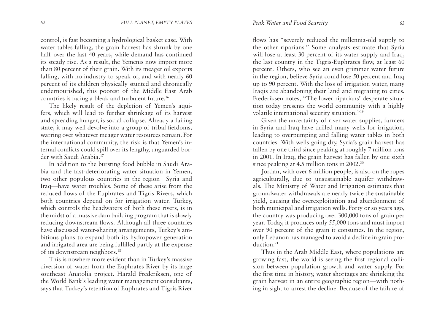control, is fast becoming a hydrological basket case. With water tables falling, the grain harvest has shrunk by one half over the last 40 years, while demand has continued its steady rise. As a result, the Yemenis now import more than 80 percent of their grain. With its meager oil exports falling, with no industry to speak of, and with nearly 60 percent of its children physically stunted and chronically undernourished, this poorest of the Middle East Arab countries is facing a bleak and turbulent future.16

The likely result of the depletion of Yemen's aquifers, which will lead to further shrinkage of its harvest and spreading hunger, is social collapse. Already a failing state, it may well devolve into a group of tribal fiefdoms, warring over whatever meager water resources remain. For the international community, the risk is that Yemen's internal conflicts could spill over its lengthy, unguarded border with Saudi Arabia.17

In addition to the bursting food bubble in Saudi Arabia and the fast-deteriorating water situation in Yemen, two other populous countries in the region—Syria and Iraq—have water troubles. Some of these arise from the reduced flows of the Euphrates and Tigris Rivers, which both countries depend on for irrigation water. Turkey, which controls the headwaters of both these rivers, is in the midst of a massive dam building program that is slowly reducing downstream flows. Although all three countries have discussed water-sharing arrangements, Turkey's ambitious plans to expand both its hydropower generation and irrigated area are being fulfilled partly at the expense of its downstream neighbors.18

This is nowhere more evident than in Turkey's massive diversion of water from the Euphrates River by its large southeast Anatolia project. Harald Frederiksen, one of the World Bank's leading water management consultants, says that Turkey's retention of Euphrates and Tigris River

flows has "severely reduced the millennia-old supply to the other riparians." Some analysts estimate that Syria will lose at least 30 percent of its water supply and Iraq, the last country in the Tigris-Euphrates flow, at least 60 percent. Others, who see an even grimmer water future in the region, believe Syria could lose 50 percent and Iraq up to 90 percent. With the loss of irrigation water, many Iraqis are abandoning their land and migrating to cities. Frederiksen notes, "The lower riparians' desperate situation today presents the world community with a highly volatile international security situation."19

Given the uncertainty of river water supplies, farmers in Syria and Iraq have drilled many wells for irrigation, leading to overpumping and falling water tables in both countries. With wells going dry, Syria's grain harvest has fallen by one third since peaking at roughly 7 million tons in 2001. In Iraq, the grain harvest has fallen by one sixth since peaking at 4.5 million tons in 2002.<sup>20</sup>

Jordan, with over 6 million people, is also on the ropes agriculturally, due to unsustainable aquifer withdrawals. The Ministry of Water and Irrigation estimates that groundwater withdrawals are nearly twice the sustainable yield, causing the overexploitation and abandonment of both municipal and irrigation wells. Forty or so years ago, the country was producing over 300,000 tons of grain per year. Today, it produces only 55,000 tons and must import over 90 percent of the grain it consumes. In the region, only Lebanon has managed to avoid a decline in grain production.<sup>21</sup>

Thus in the Arab Middle East, where populations are growing fast, the world is seeing the first regional collision between population growth and water supply. For the first time in history, water shortages are shrinking the grain harvest in an entire geographic region—with nothing in sight to arrest the decline. Because of the failure of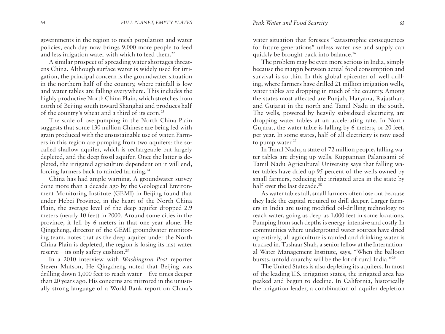governments in the region to mesh population and water policies, each day now brings 9,000 more people to feed and less irrigation water with which to feed them.<sup>22</sup>

A similar prospect of spreading water shortages threatens China. Although surface water is widely used for irrigation, the principal concern is the groundwater situation in the northern half of the country, where rainfall is low and water tables are falling everywhere. This includes the highly productive North China Plain, which stretches from north of Beijing south toward Shanghai and produces half of the country's wheat and a third of its corn.<sup>23</sup>

The scale of overpumping in the North China Plain suggests that some 130 million Chinese are being fed with grain produced with the unsustainable use of water. Farmers in this region are pumping from two aquifers: the socalled shallow aquifer, which is rechargeable but largely depleted, and the deep fossil aquifer. Once the latter is depleted, the irrigated agriculture dependent on it will end, forcing farmers back to rainfed farming.24

China has had ample warning. A groundwater survey done more than a decade ago by the Geological Environment Monitoring Institute (GEMI) in Beijing found that under Hebei Province, in the heart of the North China Plain, the average level of the deep aquifer dropped 2.9 meters (nearly 10 feet) in 2000. Around some cities in the province, it fell by 6 meters in that one year alone. He Qingcheng, director of the GEMI groundwater monitoring team, notes that as the deep aquifer under the North China Plain is depleted, the region is losing its last water reserve—its only safety cushion.25

In a 2010 interview with *Washington Post* reporter Steven Mufson, He Qingcheng noted that Beijing was drilling down 1,000 feet to reach water—five times deeper than 20 years ago. His concerns are mirrored in the unusually strong language of a World Bank report on China's water situation that foresees "catastrophic consequences for future generations" unless water use and supply can quickly be brought back into balance.<sup>26</sup>

The problem may be even more serious in India, simply because the margin between actual food consumption and survival is so thin. In this global epicenter of well drilling, where farmers have drilled 21 million irrigation wells, water tables are dropping in much of the country. Among the states most affected are Punjab, Haryana, Rajasthan, and Gujarat in the north and Tamil Nadu in the south. The wells, powered by heavily subsidized electricity, are dropping water tables at an accelerating rate. In North Gujarat, the water table is falling by 6 meters, or 20 feet, per year. In some states, half of all electricity is now used to pump water.<sup>27</sup>

In Tamil Nadu, a state of 72 million people, falling water tables are drying up wells. Kuppannan Palanisami of Tamil Nadu Agricultural University says that falling water tables have dried up 95 percent of the wells owned by small farmers, reducing the irrigated area in the state by half over the last decade.<sup>28</sup>

As water tables fall, small farmers often lose out because they lack the capital required to drill deeper. Larger farmers in India are using modified oil-drilling technology to reach water, going as deep as 1,000 feet in some locations. Pumping from such depths is energy-intensive and costly. In communities where underground water sources have dried up entirely, all agriculture is rainfed and drinking water is trucked in. Tushaar Shah, a senior fellow at the International Water Management Institute, says, "When the balloon bursts, untold anarchy will be the lot of rural India."29

The United States is also depleting its aquifers. In most of the leading U.S. irrigation states, the irrigated area has peaked and begun to decline. In California, historically the irrigation leader, a combination of aquifer depletion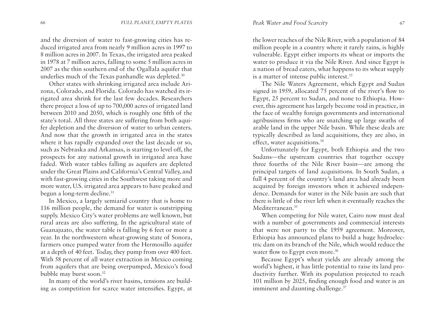and the diversion of water to fast-growing cities has reduced irrigated area from nearly 9 million acres in 1997 to 8 million acres in 2007. In Texas, the irrigated area peaked in 1978 at 7 million acres, falling to some 5 million acres in 2007 as the thin southern end of the Ogallala aquifer that underlies much of the Texas panhandle was depleted.<sup>30</sup>

Other states with shrinking irrigated area include Arizona, Colorado, and Florida. Colorado has watched its irrigated area shrink for the last few decades. Researchers there project a loss of up to 700,000 acres of irrigated land between 2010 and 2050, which is roughly one fifth of the state's total. All three states are suffering from both aquifer depletion and the diversion of water to urban centers. And now that the growth in irrigated area in the states where it has rapidly expanded over the last decade or so, such as Nebraska and Arkansas, is starting to level off, the prospects for any national growth in irrigated area have faded. With water tables falling as aquifers are depleted under the Great Plains and California's Central Valley, and with fast-growing cities in the Southwest taking more and more water, U.S. irrigated area appears to have peaked and begun a long-term decline.<sup>31</sup>

In Mexico, a largely semiarid country that is home to 116 million people, the demand for water is outstripping supply. Mexico City's water problems are well known, but rural areas are also suffering. In the agricultural state of Guanajuato, the water table is falling by 6 feet or more a year. In the northwestern wheat-growing state of Sonora, farmers once pumped water from the Hermosillo aquifer at a depth of 40 feet. Today, they pump from over 400 feet. With 58 percent of all water extraction in Mexico coming from aquifers that are being overpumped, Mexico's food bubble may burst soon.32

In many of the world's river basins, tensions are building as competition for scarce water intensifies. Egypt, at the lower reaches of the Nile River, with a population of 84 million people in a country where it rarely rains, is highly vulnerable. Egypt either imports its wheat or imports the water to produce it via the Nile River. And since Egypt is a nation of bread eaters, what happens to its wheat supply is a matter of intense public interest.<sup>33</sup>

The Nile Waters Agreement, which Egypt and Sudan signed in 1959, allocated 75 percent of the river's flow to Egypt, 25 percent to Sudan, and none to Ethiopia. However, this agreement has largely become void in practice, in the face of wealthy foreign governments and international agribusiness firms who are snatching up large swaths of arable land in the upper Nile basin. While these deals are typically described as land acquisitions, they are also, in effect, water acquisitions.<sup>34</sup>

Unfortunately for Egypt, both Ethiopia and the two Sudans—the upstream countries that together occupy three fourths of the Nile River basin—are among the principal targets of land acquisitions. In South Sudan, a full 4 percent of the country's land area had already been acquired by foreign investors when it achieved independence. Demands for water in the Nile basin are such that there is little of the river left when it eventually reaches the Mediterranean.35

When competing for Nile water, Cairo now must deal with a number of governments and commercial interests that were not party to the 1959 agreement. Moreover, Ethiopia has announced plans to build a huge hydroelectric dam on its branch of the Nile, which would reduce the water flow to Egypt even more.<sup>36</sup>

Because Egypt's wheat yields are already among the world's highest, it has little potential to raise its land productivity further. With its population projected to reach 101 million by 2025, finding enough food and water is an imminent and daunting challenge.<sup>37</sup>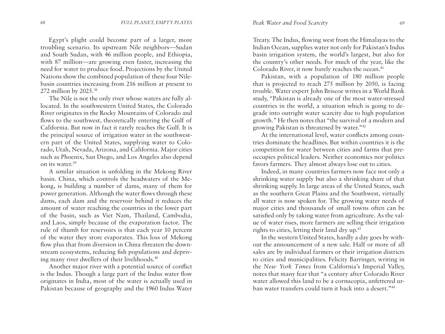Egypt's plight could become part of a larger, more troubling scenario. Its upstream Nile neighbors—Sudan and South Sudan, with 46 million people, and Ethiopia, with 87 million—are growing even faster, increasing the need for water to produce food. Projections by the United Nations show the combined population of these four Nilebasin countries increasing from 216 million at present to 272 million by 2025.38

The Nile is not the only river whose waters are fully allocated. In the southwestern United States, the Colorado River originates in the Rocky Mountains of Colorado and flows to the southwest, theoretically entering the Gulf of California. But now in fact it rarely reaches the Gulf. It is the principal source of irrigation water in the southwestern part of the United States, supplying water to Colorado, Utah, Nevada, Arizona, and California. Major cities such as Phoenix, San Diego, and Los Angeles also depend on its water.39

A similar situation is unfolding in the Mekong River basin. China, which controls the headwaters of the Mekong, is building a number of dams, many of them for power generation. Although the water flows through these dams, each dam and the reservoir behind it reduces the amount of water reaching the countries in the lower part of the basin, such as Viet Nam, Thailand, Cambodia, and Laos, simply because of the evaporation factor. The rule of thumb for reservoirs is that each year 10 percent of the water they store evaporates. This loss of Mekong flow plus that from diversion in China threaten the downstream ecosystems, reducing fish populations and depriving many river dwellers of their livelihoods.40

Another major river with a potential source of conflict is the Indus. Though a large part of the Indus water flow originates in India, most of the water is actually used in Pakistan because of geography and the 1960 Indus Water

Treaty. The Indus, flowing west from the Himalayas to the Indian Ocean, supplies water not only for Pakistan's Indus basin irrigation system, the world's largest, but also for the country's other needs. For much of the year, like the Colorado River, it now barely reaches the ocean.<sup>41</sup>

Pakistan, with a population of 180 million people that is projected to reach 275 million by 2050, is facing trouble. Water expert John Briscoe writes in a World Bank study, "Pakistan is already one of the most water-stressed countries in the world, a situation which is going to degrade into outright water scarcity due to high population growth." He then notes that "the survival of a modern and growing Pakistan is threatened by water."42

At the international level, water conflicts among countries dominate the headlines. But within countries it is the competition for water between cities and farms that preoccupies political leaders. Neither economics nor politics favors farmers. They almost always lose out to cities.

Indeed, in many countries farmers now face not only a shrinking water supply but also a shrinking share of that shrinking supply. In large areas of the United States, such as the southern Great Plains and the Southwest, virtually all water is now spoken for. The growing water needs of major cities and thousands of small towns often can be satisfied only by taking water from agriculture. As the value of water rises, more farmers are selling their irrigation rights to cities, letting their land dry up.<sup>43</sup>

In the western United States, hardly a day goes by without the announcement of a new sale. Half or more of all sales are by individual farmers or their irrigation districts to cities and municipalities. Felicity Barringer, writing in the *New York Times* from California's Imperial Valley, notes that many fear that "a century after Colorado River water allowed this land to be a cornucopia, unfettered urban water transfers could turn it back into a desert."44